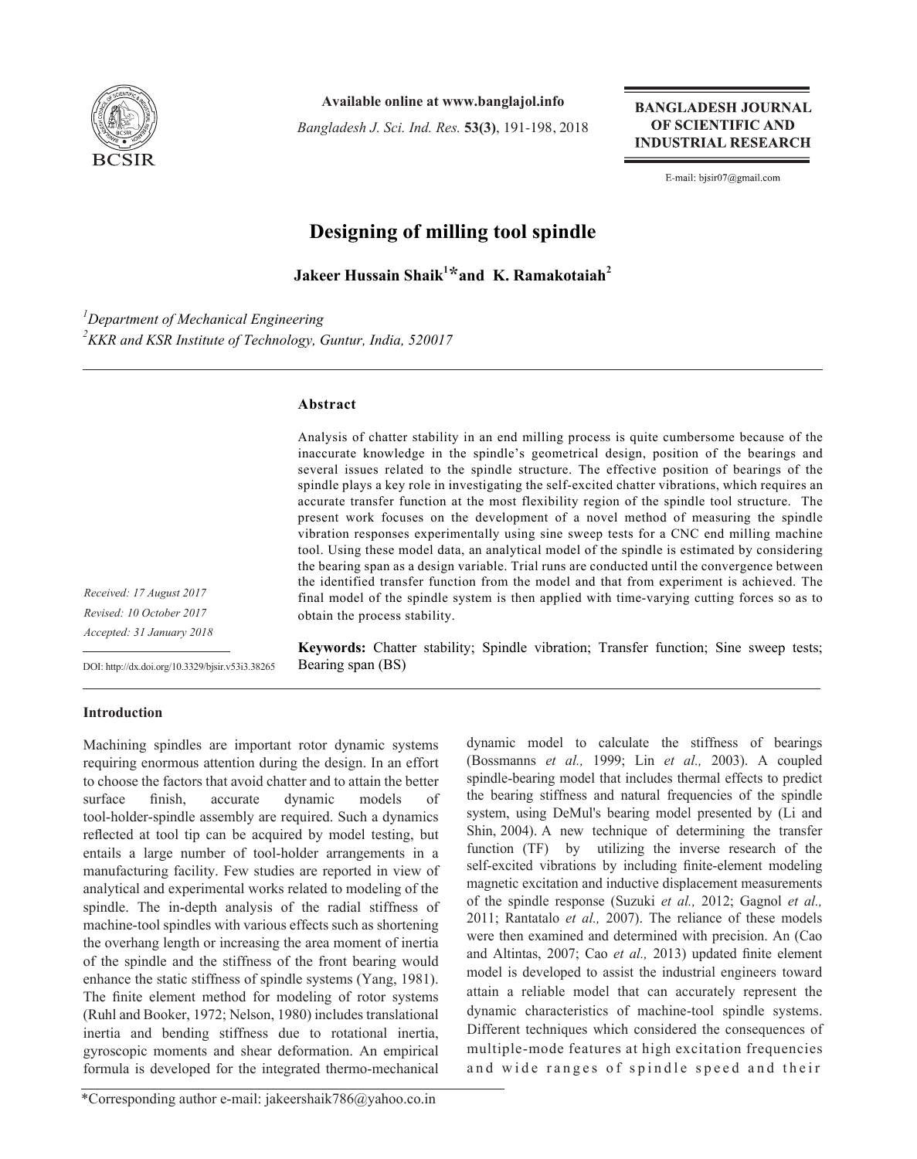

**Available online at www.banglajol.info**

*Bangladesh J. Sci. Ind. Res.* **53(3)**, 191-198, 2018

**BANGLADESH JOURNAL** OF SCIENTIFIC AND **INDUSTRIAL RESEARCH** 

E-mail: bjsir07@gmail.com

# **Designing of milling tool spindle**

**Jakeer Hussain Shaik<sup>1</sup> \*and K. Ramakotaiah2**

*1 Department of Mechanical Engineering 2 KKR and KSR Institute of Technology, Guntur, India, 520017*

#### **Abstract**

Bearing span (BS)

Analysis of chatter stability in an end milling process is quite cumbersome because of the inaccurate knowledge in the spindle's geometrical design, position of the bearings and several issues related to the spindle structure. The effective position of bearings of the spindle plays a key role in investigating the self-excited chatter vibrations, which requires an accurate transfer function at the most flexibility region of the spindle tool structure. The present work focuses on the development of a novel method of measuring the spindle vibration responses experimentally using sine sweep tests for a CNC end milling machine tool. Using these model data, an analytical model of the spindle is estimated by considering the bearing span as a design variable. Trial runs are conducted until the convergence between the identified transfer function from the model and that from experiment is achieved. The final model of the spindle system is then applied with time-varying cutting forces so as to obtain the process stability.

**Keywords:** Chatter stability; Spindle vibration; Transfer function; Sine sweep tests;

*Received: 17 August 2017 Revised: 10 October 2017 Accepted: 31 January 2018*

DOI: http://dx.doi.org/10.3329/bjsir.v53i3.38265

# **Introduction**

Machining spindles are important rotor dynamic systems requiring enormous attention during the design. In an effort to choose the factors that avoid chatter and to attain the better surface finish, accurate dynamic models of tool-holder-spindle assembly are required. Such a dynamics reflected at tool tip can be acquired by model testing, but entails a large number of tool-holder arrangements in a manufacturing facility. Few studies are reported in view of analytical and experimental works related to modeling of the spindle. The in-depth analysis of the radial stiffness of machine-tool spindles with various effects such as shortening the overhang length or increasing the area moment of inertia of the spindle and the stiffness of the front bearing would enhance the static stiffness of spindle systems (Yang, 1981). The finite element method for modeling of rotor systems (Ruhl and Booker, 1972; Nelson, 1980) includes translational inertia and bending stiffness due to rotational inertia, gyroscopic moments and shear deformation. An empirical formula is developed for the integrated thermo-mechanical

dynamic model to calculate the stiffness of bearings (Bossmanns *et al.,* 1999; Lin *et al.,* 2003). A coupled spindle-bearing model that includes thermal effects to predict the bearing stiffness and natural frequencies of the spindle system, using DeMul's bearing model presented by (Li and Shin, 2004). A new technique of determining the transfer function (TF) by utilizing the inverse research of the self-excited vibrations by including finite-element modeling magnetic excitation and inductive displacement measurements of the spindle response (Suzuki *et al.,* 2012; Gagnol *et al.,* 2011; Rantatalo *et al.,* 2007). The reliance of these models were then examined and determined with precision. An (Cao and Altintas, 2007; Cao *et al.,* 2013) updated finite element model is developed to assist the industrial engineers toward attain a reliable model that can accurately represent the dynamic characteristics of machine-tool spindle systems. Different techniques which considered the consequences of multiple-mode features at high excitation frequencies and wide ranges of spindle speed and their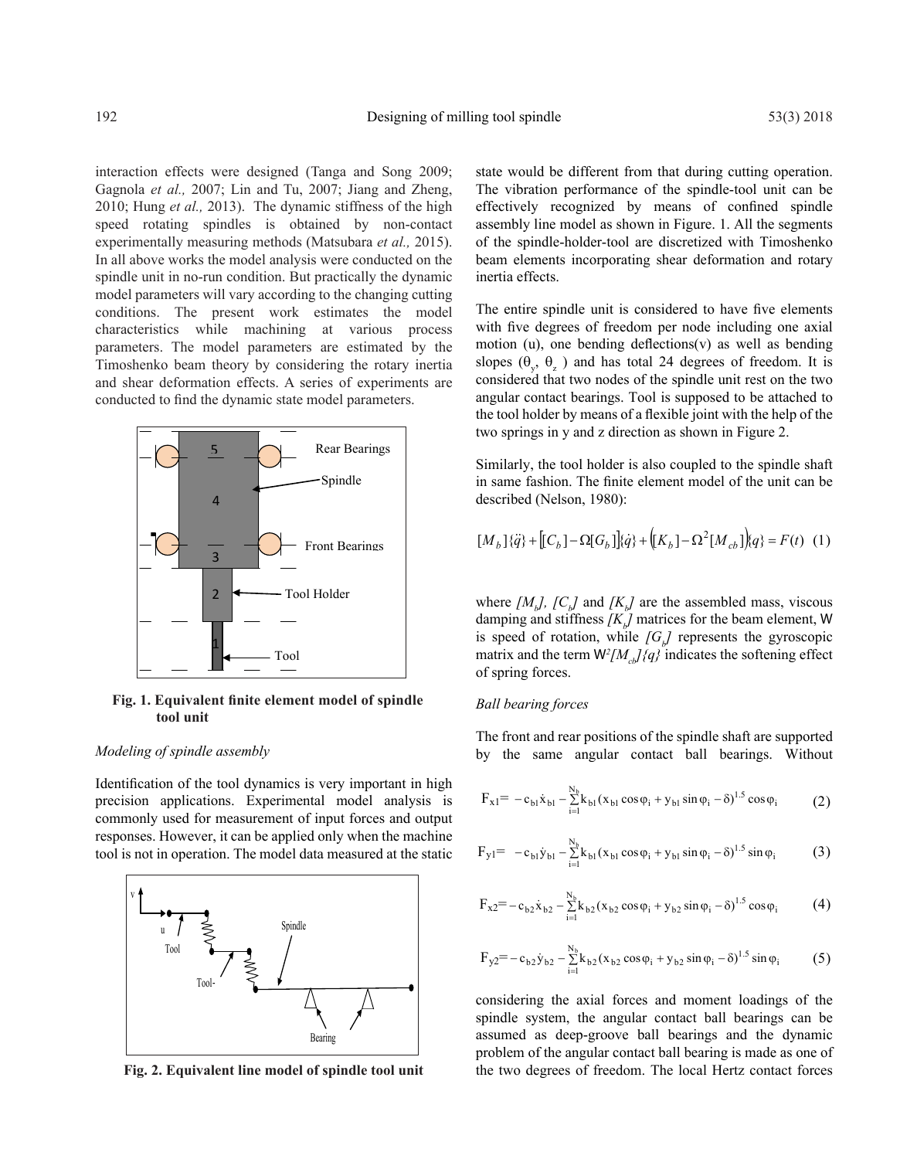interaction effects were designed (Tanga and Song 2009; Gagnola *et al.,* 2007; Lin and Tu, 2007; Jiang and Zheng, 2010; Hung *et al.,* 2013). The dynamic stiffness of the high speed rotating spindles is obtained by non-contact experimentally measuring methods (Matsubara *et al.,* 2015). In all above works the model analysis were conducted on the spindle unit in no-run condition. But practically the dynamic model parameters will vary according to the changing cutting conditions. The present work estimates the model characteristics while machining at various process parameters. The model parameters are estimated by the Timoshenko beam theory by considering the rotary inertia and shear deformation effects. A series of experiments are conducted to find the dynamic state model parameters.



 **Fig. 1. Equivalent finite element model of spindle tool unit**

#### *Modeling of spindle assembly*

Identification of the tool dynamics is very important in high precision applications. Experimental model analysis is commonly used for measurement of input forces and output responses. However, it can be applied only when the machine tool is not in operation. The model data measured at the static



**Fig. 2. Equivalent line model of spindle tool unit**

state would be different from that during cutting operation. The vibration performance of the spindle-tool unit can be effectively recognized by means of confined spindle assembly line model as shown in Figure. 1. All the segments of the spindle-holder-tool are discretized with Timoshenko beam elements incorporating shear deformation and rotary inertia effects.

The entire spindle unit is considered to have five elements with five degrees of freedom per node including one axial motion (u), one bending deflections(v) as well as bending slopes  $(\theta_y, \theta_z)$  and has total 24 degrees of freedom. It is considered that two nodes of the spindle unit rest on the two angular contact bearings. Tool is supposed to be attached to the tool holder by means of a flexible joint with the help of the two springs in y and z direction as shown in Figure 2.

Similarly, the tool holder is also coupled to the spindle shaft in same fashion. The finite element model of the unit can be described (Nelson, 1980):

$$
[M_b]\{\ddot{q}\} + [ [C_b] - \Omega[G_b] ]\{\dot{q}\} + [ [K_b] - \Omega^2[M_{cb}] \{\dot{q}\} = F(t) \quad (1)
$$

where  $[M_b]$ ,  $[C_b]$  and  $[K_b]$  are the assembled mass, viscous damping and stiffness  $K_b$ <sup> $\bar{K}_b$ </sup> matrices for the beam element, W is speed of rotation, while  $[G_b]$  represents the gyroscopic matrix and the term  $W^2[M_{cb}]/\{q\}$  indicates the softening effect of spring forces.

# *Ball bearing forces*

The front and rear positions of the spindle shaft are supported by the same angular contact ball bearings. Without

$$
F_{x1} = -c_{b1}\dot{x}_{b1} - \sum_{i=1}^{N_b} k_{b1} (x_{b1} \cos \varphi_i + y_{b1} \sin \varphi_i - \delta)^{1.5} \cos \varphi_i
$$
 (2)

$$
F_{y1} = -c_{b1}\dot{y}_{b1} - \sum_{i=1}^{N_b} k_{b1} (x_{b1} \cos \varphi_i + y_{b1} \sin \varphi_i - \delta)^{1.5} \sin \varphi_i
$$
 (3)

$$
F_{x2} = -c_{b2}\dot{x}_{b2} - \sum_{i=1}^{N_b} k_{b2} (x_{b2} \cos \varphi_i + y_{b2} \sin \varphi_i - \delta)^{1.5} \cos \varphi_i
$$
 (4)

$$
F_{y2} = -c_{b2}\dot{y}_{b2} - \sum_{i=1}^{N_b} k_{b2} (x_{b2} \cos \varphi_i + y_{b2} \sin \varphi_i - \delta)^{1.5} \sin \varphi_i
$$
 (5)

considering the axial forces and moment loadings of the spindle system, the angular contact ball bearings can be assumed as deep-groove ball bearings and the dynamic problem of the angular contact ball bearing is made as one of the two degrees of freedom. The local Hertz contact forces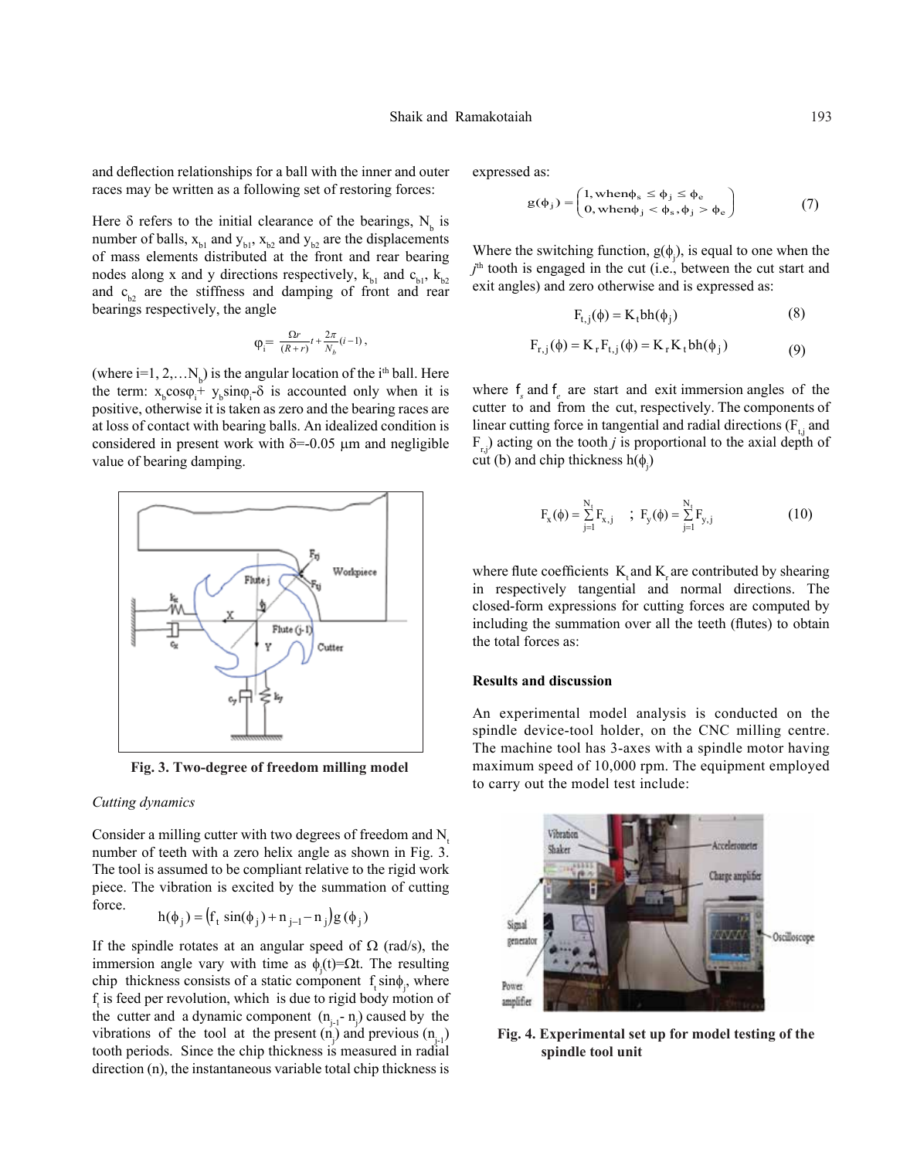and deflection relationships for a ball with the inner and outer races may be written as a following set of restoring forces:

Here  $\delta$  refers to the initial clearance of the bearings,  $N_b$  is number of balls,  $x_{b1}$  and  $y_{b1}$ ,  $x_{b2}$  and  $y_{b2}$  are the displacements of mass elements distributed at the front and rear bearing nodes along x and y directions respectively,  $k_{b1}$  and  $c_{b1}$ ,  $k_{b2}$ and  $c_{b2}$  are the stiffness and damping of front and rear bearings respectively, the angle

$$
\varphi_i = \frac{\Omega r}{(R+r)} t + \frac{2\pi}{N_b} (i-1) \,,
$$

(where  $i=1, 2,...N_b$ ) is the angular location of the  $i<sup>th</sup>$  ball. Here the term:  $x_b \cos\varphi_i + y_b \sin\varphi_i - \delta$  is accounted only when it is positive, otherwise it is taken as zero and the bearing races are at loss of contact with bearing balls. An idealized condition is considered in present work with  $\delta$ =-0.05 µm and negligible value of bearing damping.



**Fig. 3. Two-degree of freedom milling model**

#### *Cutting dynamics*

Consider a milling cutter with two degrees of freedom and N. number of teeth with a zero helix angle as shown in Fig. 3. The tool is assumed to be compliant relative to the rigid work piece. The vibration is excited by the summation of cutting force.

$$
h(\phi_j) = (f_t \sin(\phi_j) + n_{j-1} - n_j)g(\phi_j)
$$

If the spindle rotates at an angular speed of  $\Omega$  (rad/s), the immersion angle vary with time as  $\phi_j(t) = \Omega t$ . The resulting chip thickness consists of a static component  $f_t \textrm{sin} \phi_j$ , where f t is feed per revolution, which is due to rigid body motion of the cutter and a dynamic component  $(n_{j-1} - n_j)$  caused by the vibrations of the tool at the present  $(n_j)$  and previous  $(n_{j-1})$ tooth periods. Since the chip thickness is measured in radial direction (n), the instantaneous variable total chip thickness is

expressed as:

$$
g(\phi_j) = \begin{pmatrix} 1, \text{when } \phi_s \le \phi_j \le \phi_e \\ 0, \text{when } \phi_j < \phi_s, \phi_j > \phi_e \end{pmatrix}
$$
 (7)

Where the switching function,  $g(\phi_j)$ , is equal to one when the  $j<sup>th</sup>$  tooth is engaged in the cut (i.e., between the cut start and exit angles) and zero otherwise and is expressed as:

$$
F_{t,j}(\phi) = K_t bh(\phi_j)
$$
 (8)

$$
F_{r,j}(\phi) = K_r F_{t,j}(\phi) = K_r K_t bh(\phi_j)
$$
\n(9)

where  $f_s$  and  $f_e$  are start and exit immersion angles of the cutter to and from the cut, respectively. The components of linear cutting force in tangential and radial directions  $(F_t)$  and  $F_{r,j}$ ) acting on the tooth *j* is proportional to the axial depth of cut (b) and chip thickness  $h(\phi_j)$ 

$$
F_x(\phi) = \sum_{j=1}^{N_t} F_{x,j} \quad ; \ F_y(\phi) = \sum_{j=1}^{N_t} F_{y,j} \tag{10}
$$

where flute coefficients  $K_t$  and  $K_r$  are contributed by shearing in respectively tangential and normal directions. The closed-form expressions for cutting forces are computed by including the summation over all the teeth (flutes) to obtain the total forces as:

#### **Results and discussion**

An experimental model analysis is conducted on the spindle device-tool holder, on the CNC milling centre. The machine tool has 3-axes with a spindle motor having maximum speed of 10,000 rpm. The equipment employed to carry out the model test include:



**Fig. 4. Experimental set up for model testing of the spindle tool unit**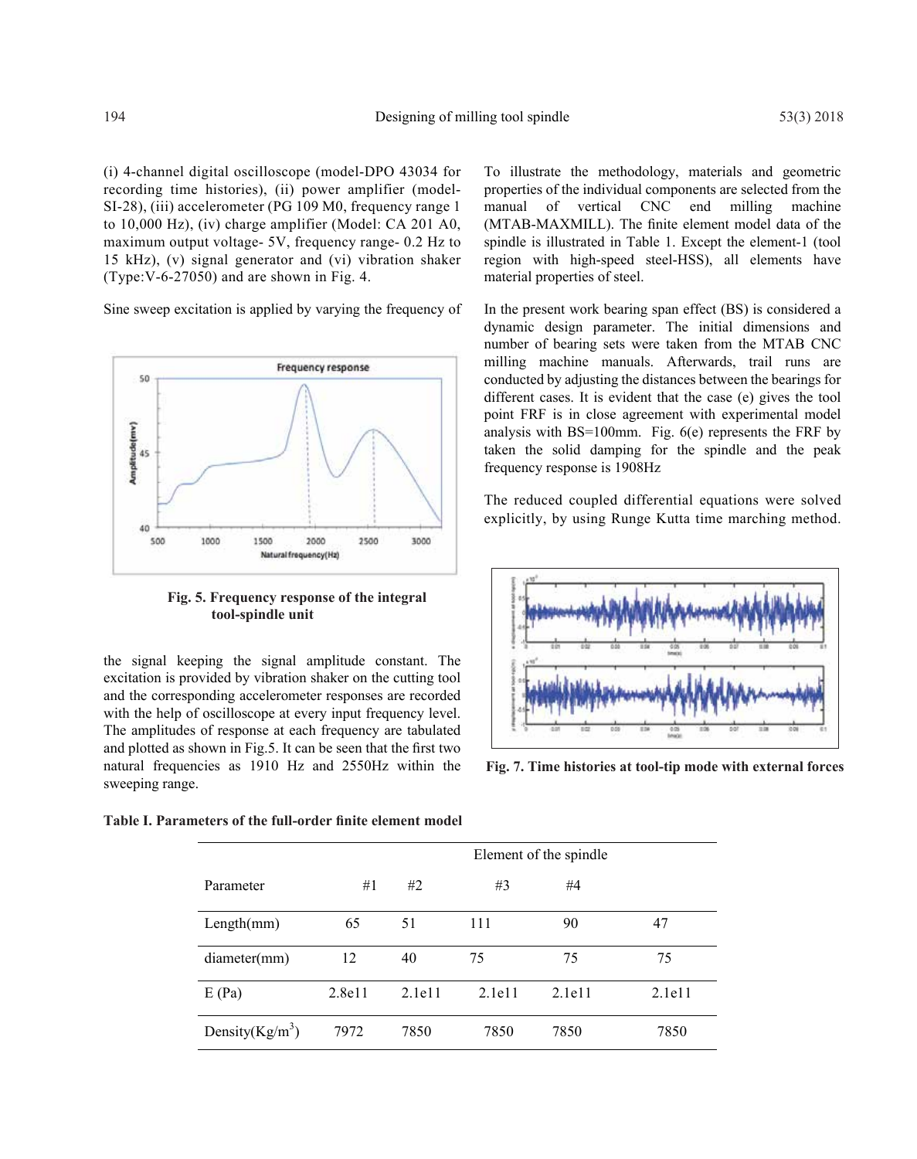(i) 4-channel digital oscilloscope (model-DPO 43034 for recording time histories), (ii) power amplifier (model-SI-28), (iii) accelerometer (PG 109 M0, frequency range 1 to 10,000 Hz), (iv) charge amplifier (Model: CA 201 A0, maximum output voltage- 5V, frequency range- 0.2 Hz to 15 kHz), (v) signal generator and (vi) vibration shaker (Type:V-6-27050) and are shown in Fig. 4.

Sine sweep excitation is applied by varying the frequency of



**Fig. 5. Frequency response of the integral tool-spindle unit**

the signal keeping the signal amplitude constant. The excitation is provided by vibration shaker on the cutting tool and the corresponding accelerometer responses are recorded with the help of oscilloscope at every input frequency level. The amplitudes of response at each frequency are tabulated and plotted as shown in Fig.5. It can be seen that the first two natural frequencies as 1910 Hz and 2550Hz within the sweeping range.

To illustrate the methodology, materials and geometric properties of the individual components are selected from the manual of vertical CNC end milling machine (MTAB-MAXMILL). The finite element model data of the spindle is illustrated in Table 1. Except the element-1 (tool region with high-speed steel-HSS), all elements have material properties of steel.

In the present work bearing span effect (BS) is considered a dynamic design parameter. The initial dimensions and number of bearing sets were taken from the MTAB CNC milling machine manuals. Afterwards, trail runs are conducted by adjusting the distances between the bearings for different cases. It is evident that the case (e) gives the tool point FRF is in close agreement with experimental model analysis with BS=100mm. Fig. 6(e) represents the FRF by taken the solid damping for the spindle and the peak frequency response is 1908Hz

The reduced coupled differential equations were solved explicitly, by using Runge Kutta time marching method.



**Fig. 7. Time histories at tool-tip mode with external forces**

|                    |        | Element of the spindle |        |        |        |
|--------------------|--------|------------------------|--------|--------|--------|
| Parameter          | #1     | #2                     | #3     | #4     |        |
| Length(mm)         | 65     | 51                     | 111    | 90     | 47     |
| diameter(mm)       | 12     | 40                     | 75     | 75     | 75     |
| E(Pa)              | 2.8e11 | 2.1e11                 | 2.1e11 | 2.1e11 | 2.1e11 |
| Density $(Kg/m^3)$ | 7972   | 7850                   | 7850   | 7850   | 7850   |

**Table I. Parameters of the full-order finite element model**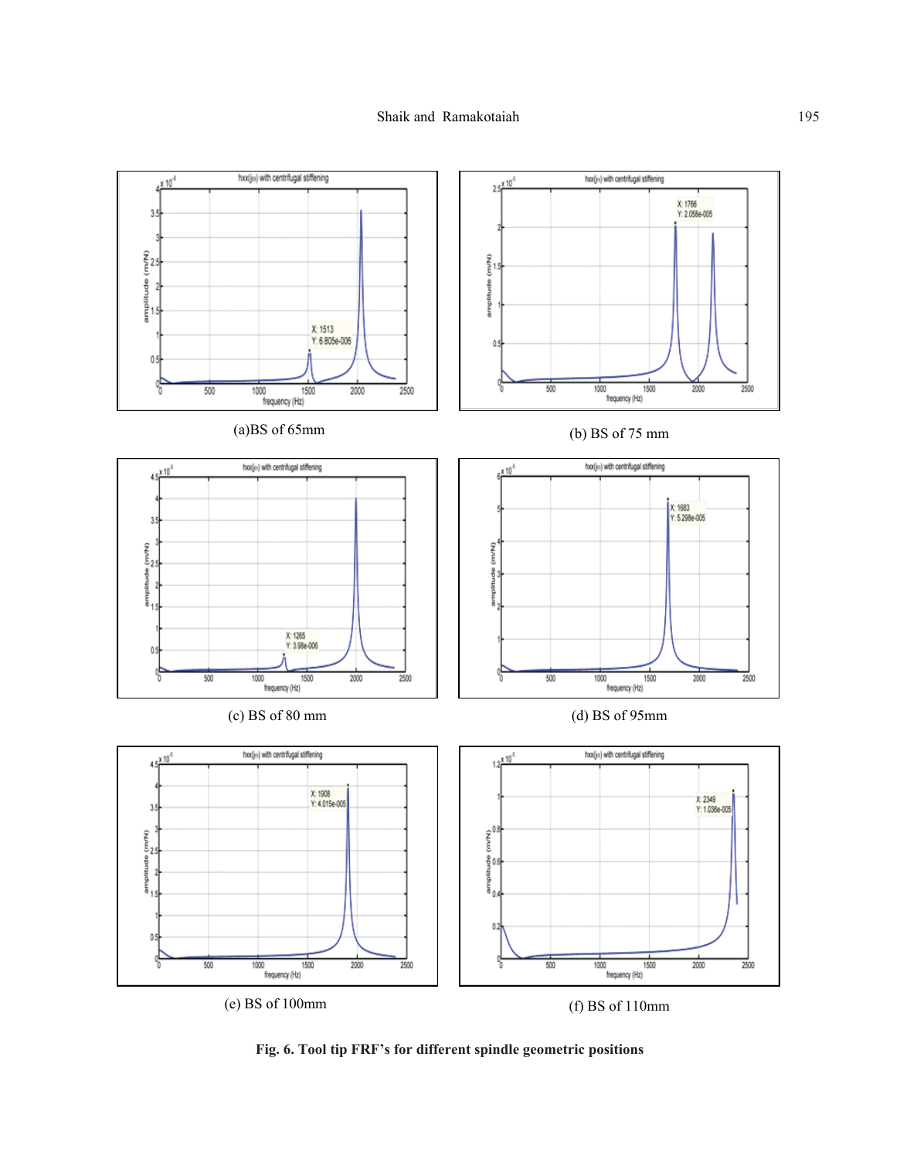

**Fig. 6. Tool tip FRF's for different spindle geometric positions**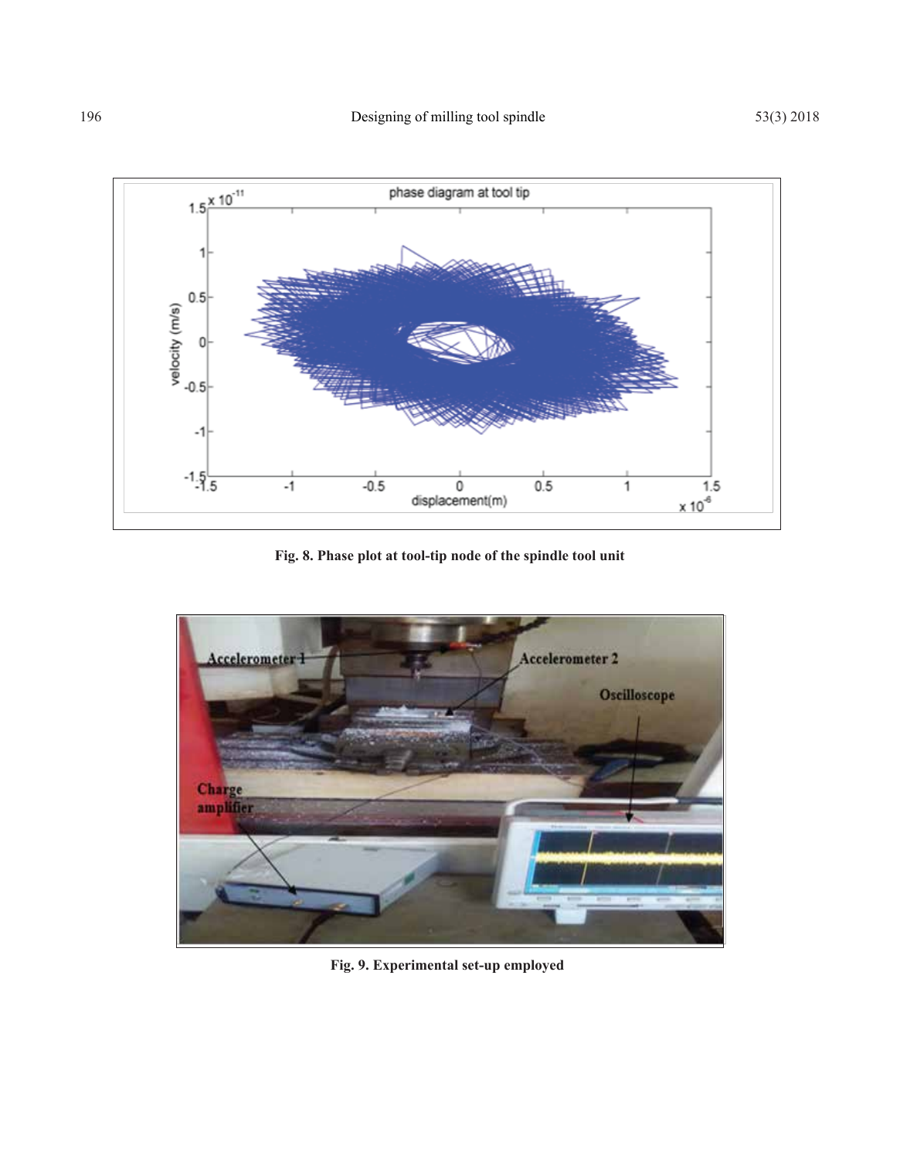

**Fig. 8. Phase plot at tool-tip node of the spindle tool unit**



**Fig. 9. Experimental set-up employed**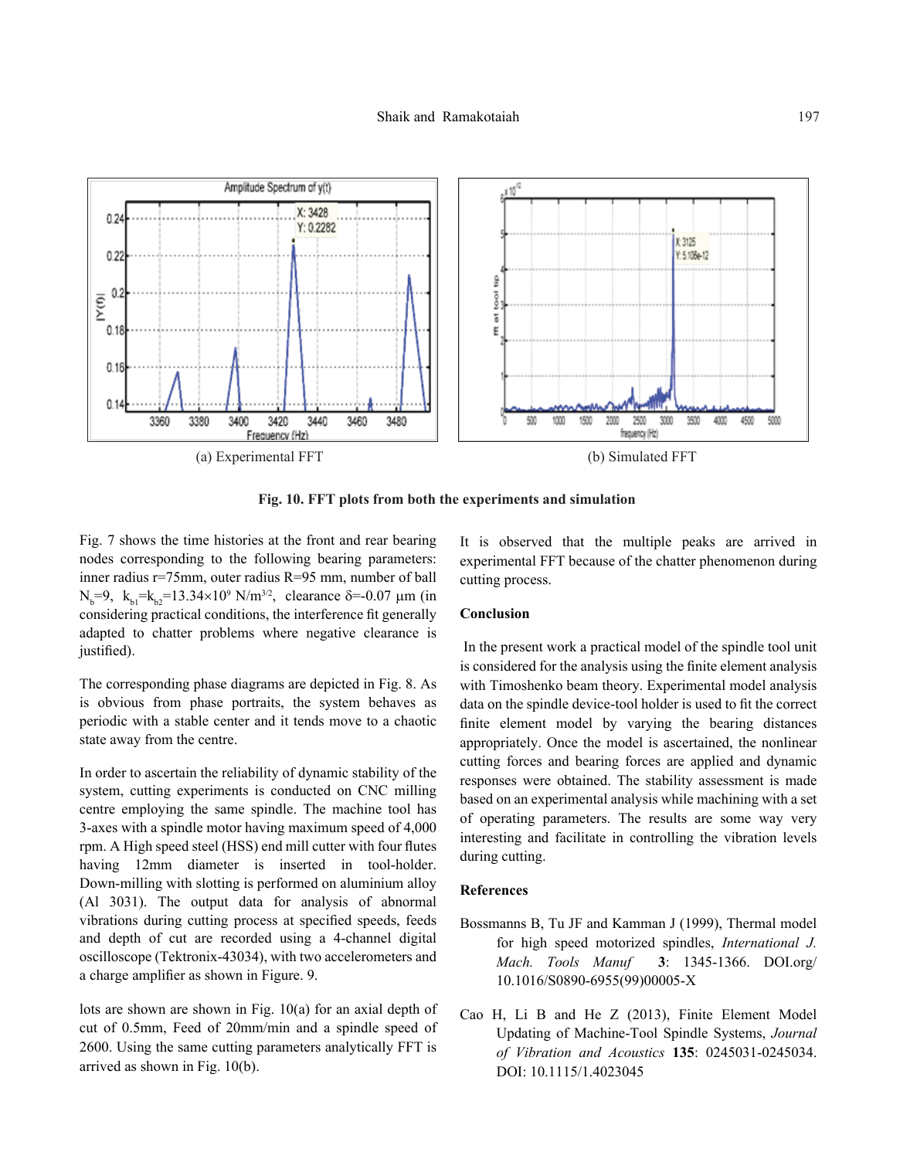

**Fig. 10. FFT plots from both the experiments and simulation**

Fig. 7 shows the time histories at the front and rear bearing nodes corresponding to the following bearing parameters: inner radius r=75mm, outer radius R=95 mm, number of ball  $N_b=9$ ,  $k_{b1} = k_{b2} = 13.34 \times 10^9$  N/m<sup>3/2</sup>, clearance δ=-0.07 μm (in considering practical conditions, the interference fit generally adapted to chatter problems where negative clearance is justified).

The corresponding phase diagrams are depicted in Fig. 8. As is obvious from phase portraits, the system behaves as periodic with a stable center and it tends move to a chaotic state away from the centre.

In order to ascertain the reliability of dynamic stability of the system, cutting experiments is conducted on CNC milling centre employing the same spindle. The machine tool has 3-axes with a spindle motor having maximum speed of 4,000 rpm. A High speed steel (HSS) end mill cutter with four flutes having 12mm diameter is inserted in tool-holder. Down-milling with slotting is performed on aluminium alloy (Al 3031). The output data for analysis of abnormal vibrations during cutting process at specified speeds, feeds and depth of cut are recorded using a 4-channel digital oscilloscope (Tektronix-43034), with two accelerometers and a charge amplifier as shown in Figure. 9.

lots are shown are shown in Fig. 10(a) for an axial depth of cut of 0.5mm, Feed of 20mm/min and a spindle speed of 2600. Using the same cutting parameters analytically FFT is arrived as shown in Fig. 10(b).

It is observed that the multiple peaks are arrived in experimental FFT because of the chatter phenomenon during cutting process.

## **Conclusion**

 In the present work a practical model of the spindle tool unit is considered for the analysis using the finite element analysis with Timoshenko beam theory. Experimental model analysis data on the spindle device-tool holder is used to fit the correct finite element model by varying the bearing distances appropriately. Once the model is ascertained, the nonlinear cutting forces and bearing forces are applied and dynamic responses were obtained. The stability assessment is made based on an experimental analysis while machining with a set of operating parameters. The results are some way very interesting and facilitate in controlling the vibration levels during cutting.

# **References**

- Bossmanns B, Tu JF and Kamman J (1999), Thermal model for high speed motorized spindles, *International J. Mach. Tools Manuf* **3**: 1345-1366. DOI.org/ 10.1016/S0890-6955(99)00005-X
- Cao H, Li B and He Z (2013), Finite Element Model Updating of Machine-Tool Spindle Systems, *Journal of Vibration and Acoustics* **135**: 0245031-0245034. DOI: 10.1115/1.4023045